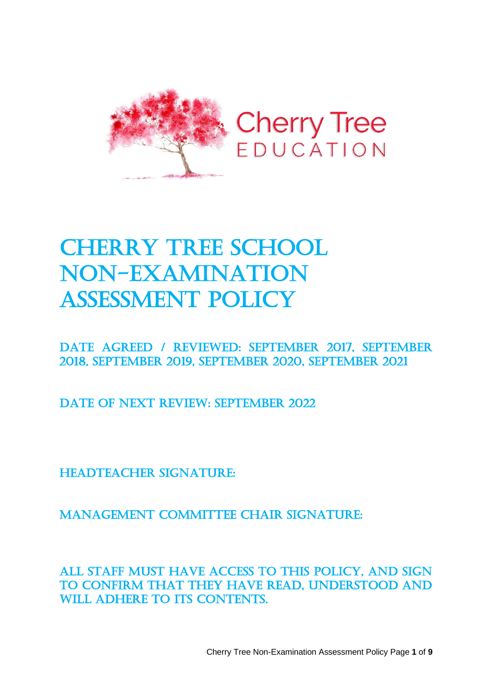

# **CHERRY TREE SCHOOL** Non-examination assessment Policy

Date Agreed / REVIEWED: September 2017, September 2018, September 2019, September 2020, September 2021

DATE OF NEXT REVIEW: SEPTEMBER 2022

HEADTEACHER SIGNATURE:

Management Committee Chair signature:

All staff must have access to this policy, and sign to confirm that they have read, understood and WILL ADHERE TO ITS CONTENTS.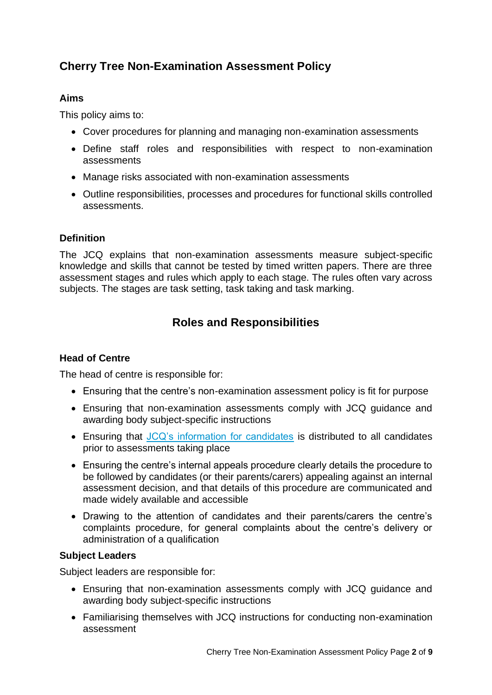## **Cherry Tree Non-Examination Assessment Policy**

#### **Aims**

This policy aims to:

- Cover procedures for planning and managing non-examination assessments
- Define staff roles and responsibilities with respect to non-examination assessments
- Manage risks associated with non-examination assessments
- Outline responsibilities, processes and procedures for functional skills controlled assessments.

#### **Definition**

The JCQ explains that non-examination assessments measure subject-specific knowledge and skills that cannot be tested by timed written papers. There are three assessment stages and rules which apply to each stage. The rules often vary across subjects. The stages are task setting, task taking and task marking.

## **Roles and Responsibilities**

#### **Head of Centre**

The head of centre is responsible for:

- Ensuring that the centre's non-examination assessment policy is fit for purpose
- Ensuring that non-examination assessments comply with JCQ guidance and awarding body subject-specific instructions
- Ensuring that [JCQ's information for candidates](https://www.jcq.org.uk/exams-office/information-for-candidates-documents/instructions-for-candidates---non-examination-assessments) is distributed to all candidates prior to assessments taking place
- Ensuring the centre's internal appeals procedure clearly details the procedure to be followed by candidates (or their parents/carers) appealing against an internal assessment decision, and that details of this procedure are communicated and made widely available and accessible
- Drawing to the attention of candidates and their parents/carers the centre's complaints procedure, for general complaints about the centre's delivery or administration of a qualification

#### **Subject Leaders**

Subject leaders are responsible for:

- Ensuring that non-examination assessments comply with JCQ guidance and awarding body subject-specific instructions
- Familiarising themselves with JCQ instructions for conducting non-examination assessment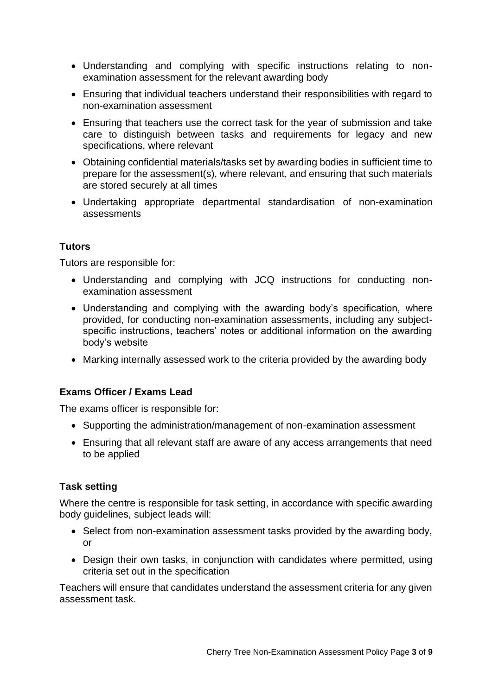- Understanding and complying with specific instructions relating to nonexamination assessment for the relevant awarding body
- Ensuring that individual teachers understand their responsibilities with regard to non-examination assessment
- Ensuring that teachers use the correct task for the year of submission and take care to distinguish between tasks and requirements for legacy and new specifications, where relevant
- Obtaining confidential materials/tasks set by awarding bodies in sufficient time to prepare for the assessment(s), where relevant, and ensuring that such materials are stored securely at all times
- Undertaking appropriate departmental standardisation of non-examination assessments

#### **Tutors**

Tutors are responsible for:

- Understanding and complying with JCQ instructions for conducting nonexamination assessment
- Understanding and complying with the awarding body's specification, where provided, for conducting non-examination assessments, including any subjectspecific instructions, teachers' notes or additional information on the awarding body's website
- Marking internally assessed work to the criteria provided by the awarding body

#### **Exams Officer / Exams Lead**

The exams officer is responsible for:

- Supporting the administration/management of non-examination assessment
- Ensuring that all relevant staff are aware of any access arrangements that need to be applied

#### **Task setting**

Where the centre is responsible for task setting, in accordance with specific awarding body guidelines, subject leads will:

- Select from non-examination assessment tasks provided by the awarding body, or
- Design their own tasks, in conjunction with candidates where permitted, using criteria set out in the specification

Teachers will ensure that candidates understand the assessment criteria for any given assessment task.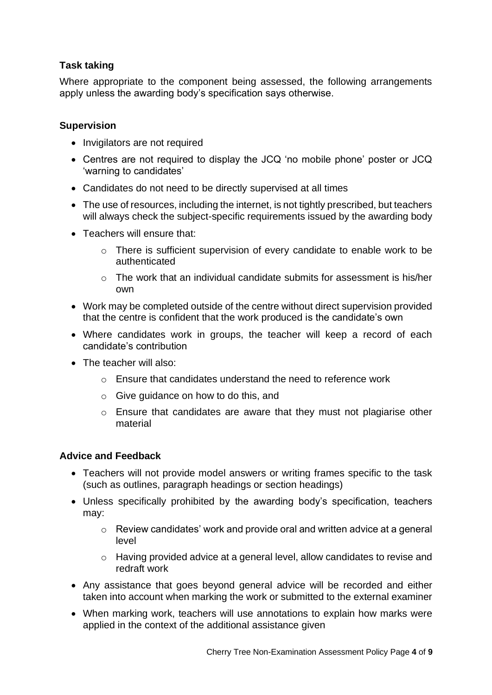#### **Task taking**

Where appropriate to the component being assessed, the following arrangements apply unless the awarding body's specification says otherwise.

#### **Supervision**

- Invigilators are not required
- Centres are not required to display the JCQ 'no mobile phone' poster or JCQ 'warning to candidates'
- Candidates do not need to be directly supervised at all times
- The use of resources, including the internet, is not tightly prescribed, but teachers will always check the subject-specific requirements issued by the awarding body
- Teachers will ensure that:
	- o There is sufficient supervision of every candidate to enable work to be authenticated
	- $\circ$  The work that an individual candidate submits for assessment is his/her own
- Work may be completed outside of the centre without direct supervision provided that the centre is confident that the work produced is the candidate's own
- Where candidates work in groups, the teacher will keep a record of each candidate's contribution
- The teacher will also:
	- o Ensure that candidates understand the need to reference work
	- o Give guidance on how to do this, and
	- o Ensure that candidates are aware that they must not plagiarise other material

#### **Advice and Feedback**

- Teachers will not provide model answers or writing frames specific to the task (such as outlines, paragraph headings or section headings)
- Unless specifically prohibited by the awarding body's specification, teachers may:
	- o Review candidates' work and provide oral and written advice at a general level
	- o Having provided advice at a general level, allow candidates to revise and redraft work
- Any assistance that goes beyond general advice will be recorded and either taken into account when marking the work or submitted to the external examiner
- When marking work, teachers will use annotations to explain how marks were applied in the context of the additional assistance given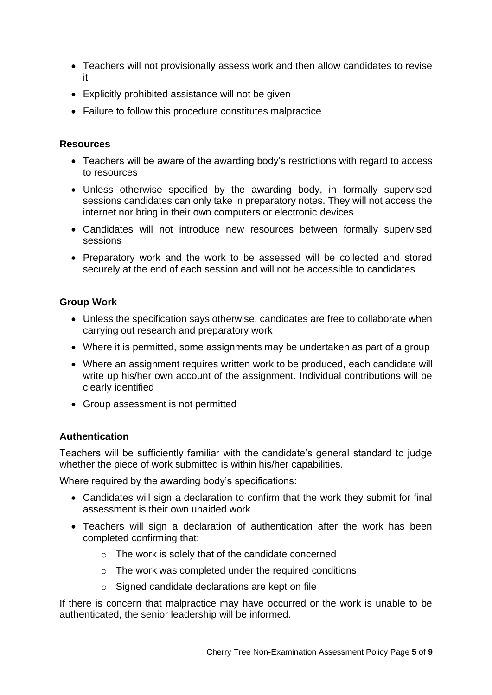- Teachers will not provisionally assess work and then allow candidates to revise it
- Explicitly prohibited assistance will not be given
- Failure to follow this procedure constitutes malpractice

#### **Resources**

- Teachers will be aware of the awarding body's restrictions with regard to access to resources
- Unless otherwise specified by the awarding body, in formally supervised sessions candidates can only take in preparatory notes. They will not access the internet nor bring in their own computers or electronic devices
- Candidates will not introduce new resources between formally supervised sessions
- Preparatory work and the work to be assessed will be collected and stored securely at the end of each session and will not be accessible to candidates

#### **Group Work**

- Unless the specification says otherwise, candidates are free to collaborate when carrying out research and preparatory work
- Where it is permitted, some assignments may be undertaken as part of a group
- Where an assignment requires written work to be produced, each candidate will write up his/her own account of the assignment. Individual contributions will be clearly identified
- Group assessment is not permitted

#### **Authentication**

Teachers will be sufficiently familiar with the candidate's general standard to judge whether the piece of work submitted is within his/her capabilities.

Where required by the awarding body's specifications:

- Candidates will sign a declaration to confirm that the work they submit for final assessment is their own unaided work
- Teachers will sign a declaration of authentication after the work has been completed confirming that:
	- o The work is solely that of the candidate concerned
	- o The work was completed under the required conditions
	- o Signed candidate declarations are kept on file

If there is concern that malpractice may have occurred or the work is unable to be authenticated, the senior leadership will be informed.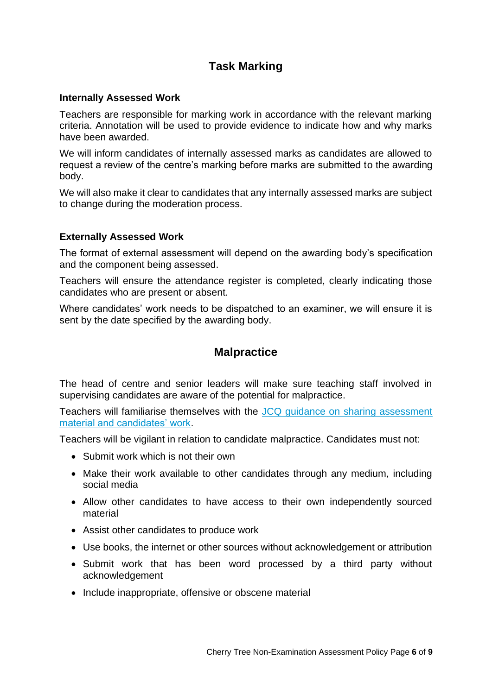## **Task Marking**

#### **Internally Assessed Work**

Teachers are responsible for marking work in accordance with the relevant marking criteria. Annotation will be used to provide evidence to indicate how and why marks have been awarded.

We will inform candidates of internally assessed marks as candidates are allowed to request a review of the centre's marking before marks are submitted to the awarding body.

We will also make it clear to candidates that any internally assessed marks are subject to change during the moderation process.

#### **Externally Assessed Work**

The format of external assessment will depend on the awarding body's specification and the component being assessed.

Teachers will ensure the attendance register is completed, clearly indicating those candidates who are present or absent.

Where candidates' work needs to be dispatched to an examiner, we will ensure it is sent by the date specified by the awarding body.

### **Malpractice**

The head of centre and senior leaders will make sure teaching staff involved in supervising candidates are aware of the potential for malpractice.

Teachers will familiarise themselves with the [JCQ guidance on sharing assessment](https://www.jcq.org.uk/exams-office/non-examination-assessments/notice-to-centres---sharing-nea-material-and-candidates-work)  [material and candidates' work.](https://www.jcq.org.uk/exams-office/non-examination-assessments/notice-to-centres---sharing-nea-material-and-candidates-work)

Teachers will be vigilant in relation to candidate malpractice. Candidates must not:

- Submit work which is not their own
- Make their work available to other candidates through any medium, including social media
- Allow other candidates to have access to their own independently sourced material
- Assist other candidates to produce work
- Use books, the internet or other sources without acknowledgement or attribution
- Submit work that has been word processed by a third party without acknowledgement
- Include inappropriate, offensive or obscene material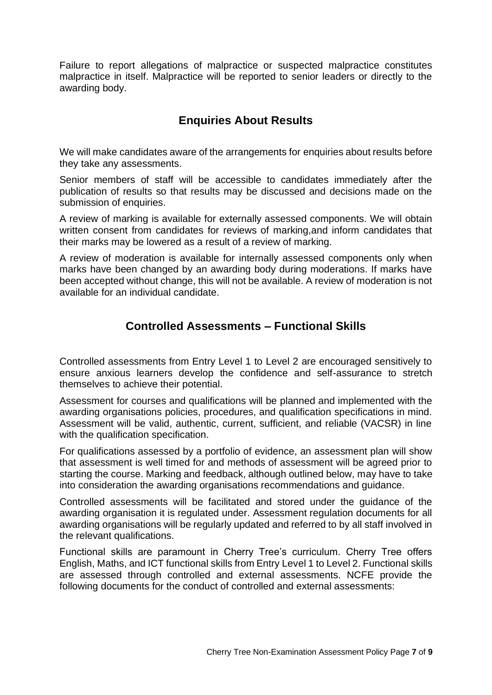Failure to report allegations of malpractice or suspected malpractice constitutes malpractice in itself. Malpractice will be reported to senior leaders or directly to the awarding body.

## **Enquiries About Results**

We will make candidates aware of the arrangements for enquiries about results before they take any assessments.

Senior members of staff will be accessible to candidates immediately after the publication of results so that results may be discussed and decisions made on the submission of enquiries.

A review of marking is available for externally assessed components. We will obtain written consent from candidates for reviews of marking,and inform candidates that their marks may be lowered as a result of a review of marking.

A review of moderation is available for internally assessed components only when marks have been changed by an awarding body during moderations. If marks have been accepted without change, this will not be available. A review of moderation is not available for an individual candidate.

## **Controlled Assessments – Functional Skills**

Controlled assessments from Entry Level 1 to Level 2 are encouraged sensitively to ensure anxious learners develop the confidence and self-assurance to stretch themselves to achieve their potential.

Assessment for courses and qualifications will be planned and implemented with the awarding organisations policies, procedures, and qualification specifications in mind. Assessment will be valid, authentic, current, sufficient, and reliable (VACSR) in line with the qualification specification.

For qualifications assessed by a portfolio of evidence, an assessment plan will show that assessment is well timed for and methods of assessment will be agreed prior to starting the course. Marking and feedback, although outlined below, may have to take into consideration the awarding organisations recommendations and guidance.

Controlled assessments will be facilitated and stored under the guidance of the awarding organisation it is regulated under. Assessment regulation documents for all awarding organisations will be regularly updated and referred to by all staff involved in the relevant qualifications.

Functional skills are paramount in Cherry Tree's curriculum. Cherry Tree offers English, Maths, and ICT functional skills from Entry Level 1 to Level 2. Functional skills are assessed through controlled and external assessments. NCFE provide the following documents for the conduct of controlled and external assessments: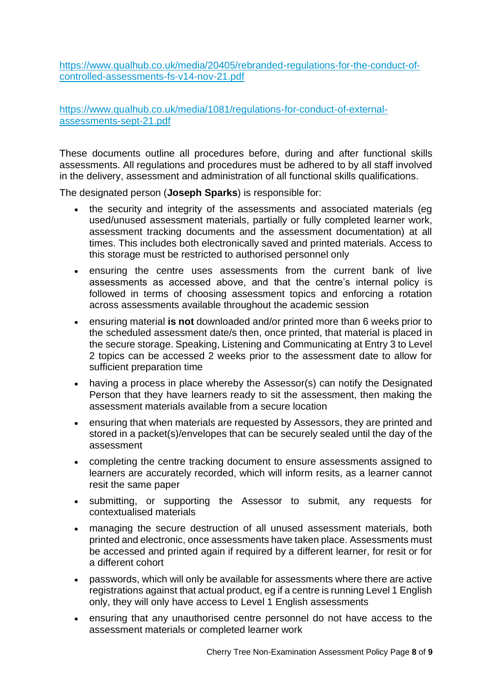[https://www.qualhub.co.uk/media/20405/rebranded-regulations-for-the-conduct-of](https://www.qualhub.co.uk/media/20405/rebranded-regulations-for-the-conduct-of-controlled-assessments-fs-v14-nov-21.pdf)[controlled-assessments-fs-v14-nov-21.pdf](https://www.qualhub.co.uk/media/20405/rebranded-regulations-for-the-conduct-of-controlled-assessments-fs-v14-nov-21.pdf)

[https://www.qualhub.co.uk/media/1081/regulations-for-conduct-of-external](https://www.qualhub.co.uk/media/1081/regulations-for-conduct-of-external-assessments-sept-21.pdf)[assessments-sept-21.pdf](https://www.qualhub.co.uk/media/1081/regulations-for-conduct-of-external-assessments-sept-21.pdf)

These documents outline all procedures before, during and after functional skills assessments. All regulations and procedures must be adhered to by all staff involved in the delivery, assessment and administration of all functional skills qualifications.

The designated person (**Joseph Sparks**) is responsible for:

- the security and integrity of the assessments and associated materials (eg used/unused assessment materials, partially or fully completed learner work, assessment tracking documents and the assessment documentation) at all times. This includes both electronically saved and printed materials. Access to this storage must be restricted to authorised personnel only
- ensuring the centre uses assessments from the current bank of live assessments as accessed above, and that the centre's internal policy is followed in terms of choosing assessment topics and enforcing a rotation across assessments available throughout the academic session
- ensuring material **is not** downloaded and/or printed more than 6 weeks prior to the scheduled assessment date/s then, once printed, that material is placed in the secure storage. Speaking, Listening and Communicating at Entry 3 to Level 2 topics can be accessed 2 weeks prior to the assessment date to allow for sufficient preparation time
- having a process in place whereby the Assessor(s) can notify the Designated Person that they have learners ready to sit the assessment, then making the assessment materials available from a secure location
- ensuring that when materials are requested by Assessors, they are printed and stored in a packet(s)/envelopes that can be securely sealed until the day of the assessment
- completing the centre tracking document to ensure assessments assigned to learners are accurately recorded, which will inform resits, as a learner cannot resit the same paper
- submitting, or supporting the Assessor to submit, any requests for contextualised materials
- managing the secure destruction of all unused assessment materials, both printed and electronic, once assessments have taken place. Assessments must be accessed and printed again if required by a different learner, for resit or for a different cohort
- passwords, which will only be available for assessments where there are active registrations against that actual product, eg if a centre is running Level 1 English only, they will only have access to Level 1 English assessments
- ensuring that any unauthorised centre personnel do not have access to the assessment materials or completed learner work